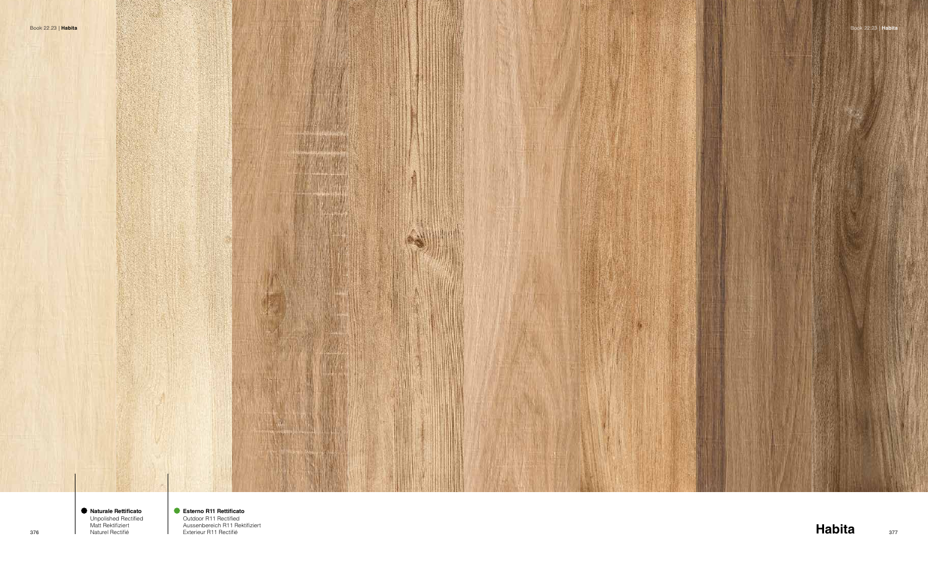





1376 **Habitable Rectificient**<br>376 **Habita** Rectifié Exterieur R11 Rectifié sur la Exterieur R11 Rectifié sur la Exterieur R11 Rectifié sur la **Esterno R11 Rettificato**  Outdoor R11 Rectified Aussenbereich R11 Rektifiziert Exterieur R11 Rectifié

**Naturale Rettificato** Unpolished Rectified Matt Rektifiziert Naturel Rectifié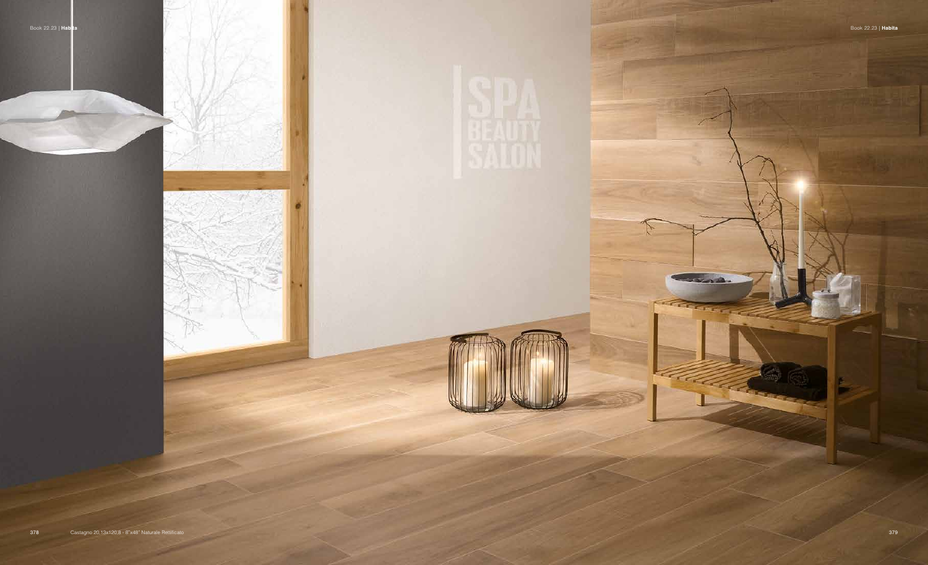



**START START** 

**ELECTR**